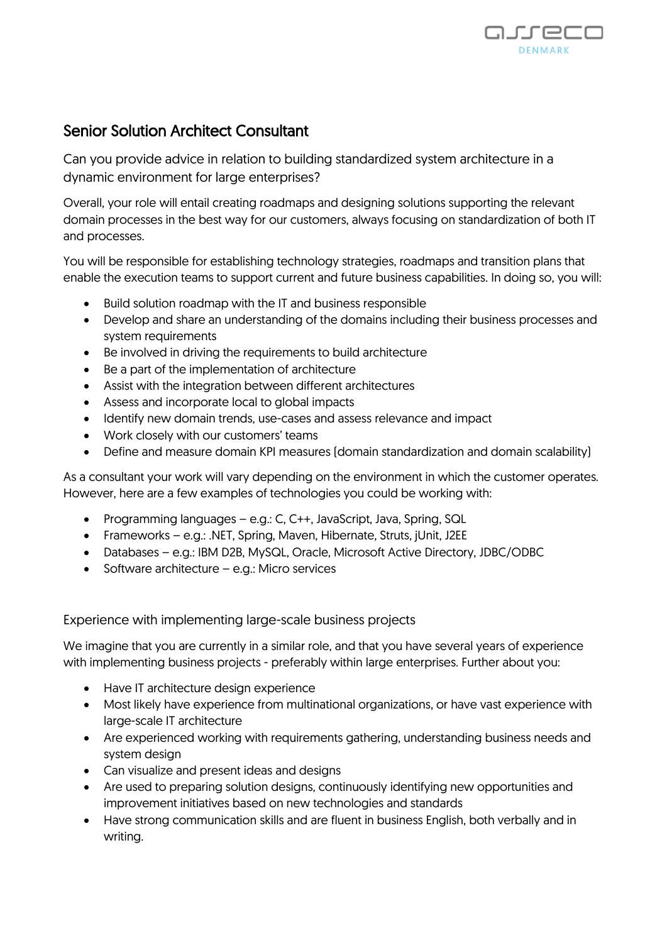

## Senior Solution Architect Consultant

Can you provide advice in relation to building standardized system architecture in a dynamic environment for large enterprises?

Overall, your role will entail creating roadmaps and designing solutions supporting the relevant domain processes in the best way for our customers, always focusing on standardization of both IT and processes.

You will be responsible for establishing technology strategies, roadmaps and transition plans that enable the execution teams to support current and future business capabilities. In doing so, you will:

- Build solution roadmap with the IT and business responsible
- Develop and share an understanding of the domains including their business processes and system requirements
- Be involved in driving the requirements to build architecture
- Be a part of the implementation of architecture
- Assist with the integration between different architectures
- Assess and incorporate local to global impacts
- Identify new domain trends, use-cases and assess relevance and impact
- Work closely with our customers' teams
- Define and measure domain KPI measures (domain standardization and domain scalability)

As a consultant your work will vary depending on the environment in which the customer operates. However, here are a few examples of technologies you could be working with:

- Programming languages e.g.: C, C++, JavaScript, Java, Spring, SQL
- Frameworks e.g.: .NET, Spring, Maven, Hibernate, Struts, jUnit, J2EE
- Databases e.g.: IBM D2B, MySQL, Oracle, Microsoft Active Directory, JDBC/ODBC
- Software architecture e.g.: Micro services

## Experience with implementing large-scale business projects

We imagine that you are currently in a similar role, and that you have several years of experience with implementing business projects - preferably within large enterprises. Further about you:

- Have IT architecture design experience
- Most likely have experience from multinational organizations, or have vast experience with large-scale IT architecture
- Are experienced working with requirements gathering, understanding business needs and system design
- Can visualize and present ideas and designs
- Are used to preparing solution designs, continuously identifying new opportunities and improvement initiatives based on new technologies and standards
- Have strong communication skills and are fluent in business English, both verbally and in writing.